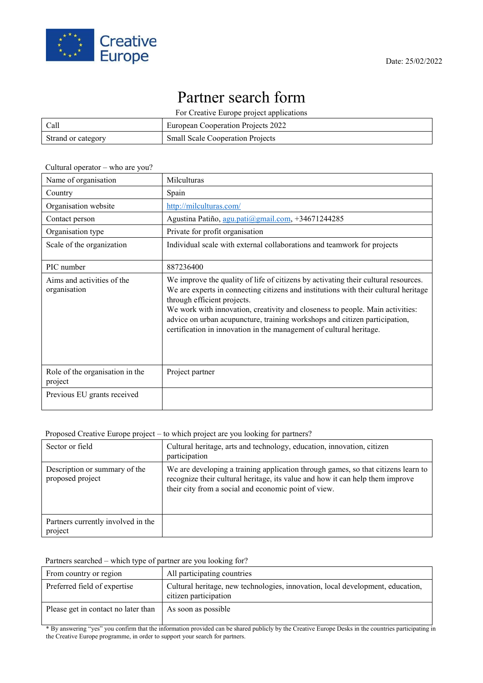

## Partner search form

For Creative Europe project applications

| Call               | European Cooperation Projects 2022      |
|--------------------|-----------------------------------------|
| Strand or category | <b>Small Scale Cooperation Projects</b> |

## Cultural operator – who are you?

| Name of organisation                       | <b>Milculturas</b>                                                                                                                                                                                                                                                                                                                                                                                                                             |
|--------------------------------------------|------------------------------------------------------------------------------------------------------------------------------------------------------------------------------------------------------------------------------------------------------------------------------------------------------------------------------------------------------------------------------------------------------------------------------------------------|
| Country                                    | Spain                                                                                                                                                                                                                                                                                                                                                                                                                                          |
| Organisation website                       | http://milculturas.com/                                                                                                                                                                                                                                                                                                                                                                                                                        |
| Contact person                             | Agustina Patiño, agu.pati@gmail.com, +34671244285                                                                                                                                                                                                                                                                                                                                                                                              |
| Organisation type                          | Private for profit organisation                                                                                                                                                                                                                                                                                                                                                                                                                |
| Scale of the organization                  | Individual scale with external collaborations and teamwork for projects                                                                                                                                                                                                                                                                                                                                                                        |
| PIC number                                 | 887236400                                                                                                                                                                                                                                                                                                                                                                                                                                      |
| Aims and activities of the<br>organisation | We improve the quality of life of citizens by activating their cultural resources.<br>We are experts in connecting citizens and institutions with their cultural heritage<br>through efficient projects.<br>We work with innovation, creativity and closeness to people. Main activities:<br>advice on urban acupuncture, training workshops and citizen participation,<br>certification in innovation in the management of cultural heritage. |
| Role of the organisation in the<br>project | Project partner                                                                                                                                                                                                                                                                                                                                                                                                                                |
| Previous EU grants received                |                                                                                                                                                                                                                                                                                                                                                                                                                                                |

## Proposed Creative Europe project – to which project are you looking for partners?

| Sector or field                                   | Cultural heritage, arts and technology, education, innovation, citizen<br>participation                                                                                                                                    |
|---------------------------------------------------|----------------------------------------------------------------------------------------------------------------------------------------------------------------------------------------------------------------------------|
| Description or summary of the<br>proposed project | We are developing a training application through games, so that citizens learn to<br>recognize their cultural heritage, its value and how it can help them improve<br>their city from a social and economic point of view. |
| Partners currently involved in the<br>project     |                                                                                                                                                                                                                            |

## Partners searched – which type of partner are you looking for?

| From country or region              | All participating countries                                                                             |
|-------------------------------------|---------------------------------------------------------------------------------------------------------|
| Preferred field of expertise        | Cultural heritage, new technologies, innovation, local development, education,<br>citizen participation |
| Please get in contact no later than | As soon as possible                                                                                     |

\* By answering "yes" you confirm that the information provided can be shared publicly by the Creative Europe Desks in the countries participating in the Creative Europe programme, in order to support your search for partners.